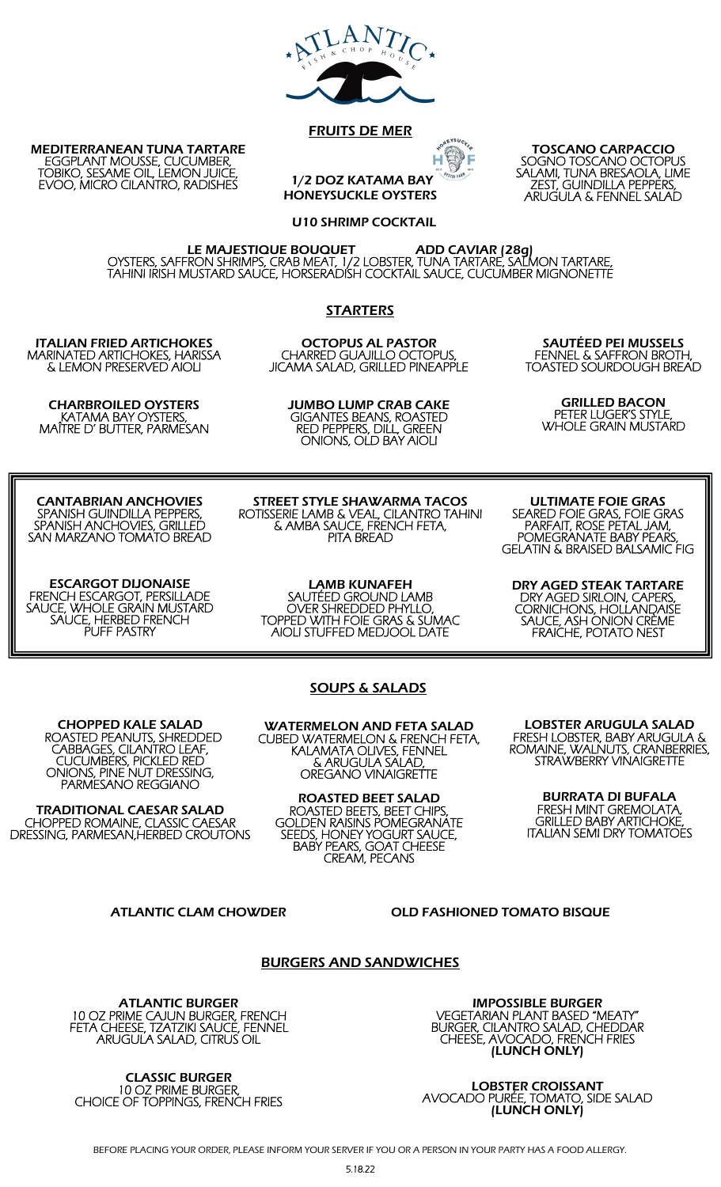

CANTABRIAN ANCHOVIES SPANISH GUINDILLA PEPPERS, SPANISH ANCHOVIES, GRILLED SAN MARZANO TOMATO BREAD

ITALIAN FRIED ARTICHOKES MARINATED ARTICHOKES, HARISSA & LEMON PRESERVED AIOLI

CHARBROILED OYSTERS KATAMA BAY OYSTERS, MAÎTRE D' BUTTER, PARMESAN

ESCARGOT DIJONAISE FRENCH ESCARGOT, PERSILLADE SAUCE, WHOLE GRAIN MUSTARD SAUCE, HERBED FRENCH PUFF PASTRY

CHOPPED KALE SALAD ROASTED PEANUTS, SHREDDED CABBAGES, CILANTRO LEAF, CUCUMBERS, PICKLED RED ONIONS, PINE NUT DRESSING, PARMESANO REGGIANO

TRADITIONAL CAESAR SALAD CHOPPED ROMAINE, CLASSIC CAESAR DRESSING, PARMESAN,HERBED CROUTONS SOUPS & SALADS

WATERMELON AND FETA SALAD CUBED WATERMELON & FRENCH FETA, KALAMATA OLIVES, FENNEL & ARUGULA SALAD, OREGANO VINAIGRETTE

> ROASTED BEET SALAD ROASTED BEETS, BEET CHIPS, GOLDEN RAISINS POMEGRANATE SEEDS, HONEY YOGURT SAUCE, BABY PEARS, GOAT CHEESE CREAM, PECANS

LOBSTER ARUGULA SALAD FRESH LOBSTER, BABY ARUGULA & ROMAINE, WALNUTS, CRANBERRIES, STRAWBERRY VINAIGRETTE

BURRATA DI BUFALA FRESH MINT GREMOLATA, GRILLED BABY ARTICHOKE, ITALIAN SEMI DRY TOMATOES

ATLANTIC CLAM CHOWDER **CHOWDER** OLD FASHIONED TOMATO BISQUE

### BURGERS AND SANDWICHES

ATLANTIC BURGER 10 OZ PRIME CAJUN BURGER, FRENCH FETA CHEESE, TZATZIKI SAUCE, FENNEL ARUGULA SALAD, CITRUS OIL

CLASSIC BURGER 10 OZ PRIME BURGER, CHOICE OF TOPPINGS, FRENCH FRIES

VEGETARIAN PLANT BASED "MEATY" BURGER, CILANTRO SALAD, CHEDDAR CHEESE, AVOCADO, FRENCH FRIES (LUNCH ONLY)

LOBSTER CROISSANT AVOCADO PURÉE, TOMATO, SIDE SALAD (LUNCH ONLY)

IMPOSSIBLE BURGER

BEFORE PLACING YOUR ORDER, PLEASE INFORM YOUR SERVER IF YOU OR A PERSON IN YOUR PARTY HAS A FOOD ALLERGY.

SAUTÉED PEI MUSSELS FENNEL & SAFFRON BROTH TOASTED SOURDOUGH BREAD

GRILLED BACON PETER LUGER'S STYLE, WHOLE GRAIN MUSTARD

ULTIMATE FOIE GRAS SEARED FOIE GRAS, FOIE GRAS PARFAIT, ROSE PETAL JAM, POMEGRANATE BABY PEARS, GELATIN & BRAISED BALSAMIC FIG

DRY AGED STEAK TARTARE DRY AGED SIRLOIN, CAPERS, CORNICHONS, HOLLANDAISE SAUCE, ASH ONION CRÈME FRAICHE, POTATO NEST

U10 SHRIMP COCKTAIL HONEYSUCKLE OYSTERS

LE MAJESTIQUE BOUQUET ADD CAVIAR (28g) OYSTERS, SAFFRON SHRIMPS, CRAB MEAT, 1/2 LOBSTER, TUNA TARTARE, SALMON TARTARE, TAHINI IRISH MUSTARD SAUCE, HORSERADISH COCKTAIL SAUCE, CUCUMBER MIGNONETTE

# **STARTERS**

OCTOPUS AL PASTOR CHARRED GUAJILLO OCTOPUS, JICAMA SALAD, GRILLED PINEAPPLE

JUMBO LUMP CRAB CAKE GIGANTES BEANS, ROASTED RED PEPPERS, DILL, GREEN ONIONS, OLD BAY AIOLI

STREET STYLE SHAWARMA TACOS ROTISSERIE LAMB & VEAL, CILANTRO TAHINI & AMBA SAUCE, FRENCH FETA, PITA BREAD

LAMB KUNAFEH SAUTÉED GROUND LAMB OVER SHREDDED PHYLLO, TOPPED WITH FOIE GRAS & SUMAC AIOLI STUFFED MEDJOOL DATE

MEDITERRANEAN TUNA TARTARE EGGPLANT MOUSSE, CUCUMBER, TOBIKO, SESAME OIL, LEMON JUICE, EVOO, MICRO CILANTRO, RADISHES





FRUITS DE MER

**HEYSUCKLA** HOF

1/2 DOZ KATAMA BAY